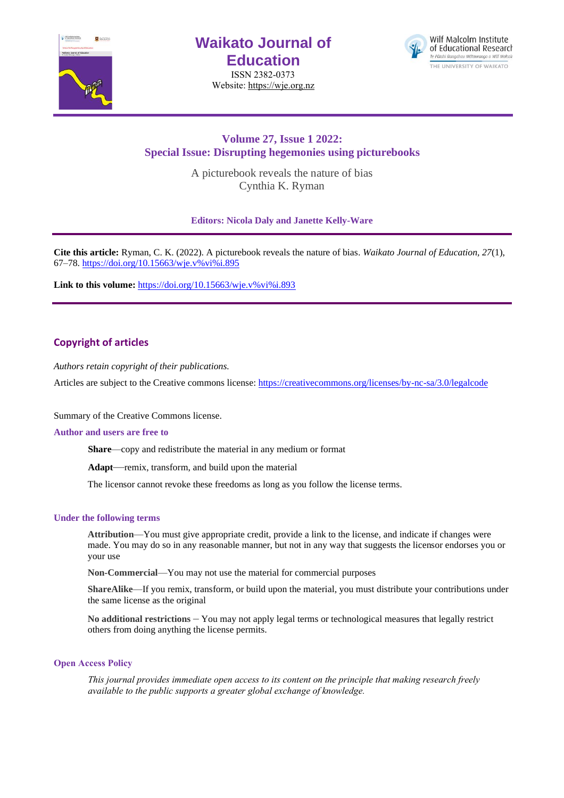

# **Waikato Journal of Education**

ISSN 2382-0373 Website[: https://wje.org.nz](https://wje.org.nz/)



## **Volume 27, Issue 1 2022: Special Issue: Disrupting hegemonies using picturebooks**

A picturebook reveals the nature of bias Cynthia K. Ryman

**Editors: Nicola Daly and Janette Kelly-Ware**

**Cite this article:** Ryman, C. K. (2022). A picturebook reveals the nature of bias. *Waikato Journal of Education, 27*(1), 67–78[. https://doi.org/10.15663/wje.v%vi%i.895](https://doi.org/10.15663/wje.v%25vi%25i.895) 

Link to this volume: [https://doi.org/10.15663/wje.v%vi%i.893](https://doi.org/10.15663/wje.v%25vi%25i.893)

## **Copyright of articles**

*Authors retain copyright of their publications.*

Articles are subject to the Creative commons license: https://creativecommons.org/licenses/by-nc-sa/3.0/legalcode

Summary of the Creative Commons license.

#### **Author and users are free to**

**Share**—copy and redistribute the material in any medium or format

**Adapt**—remix, transform, and build upon the material

The licensor cannot revoke these freedoms as long as you follow the license terms.

#### **Under the following terms**

**Attribution**—You must give appropriate credit, provide a link to the license, and indicate if changes were made. You may do so in any reasonable manner, but not in any way that suggests the licensor endorses you or your use

**Non-Commercial**—You may not use the material for commercial purposes

**ShareAlike**—If you remix, transform, or build upon the material, you must distribute your contributions under the same license as the original

**No additional restrictions** – You may not apply legal terms or technological measures that legally restrict others from doing anything the license permits.

#### **Open Access Policy**

*This journal provides immediate open access to its content on the principle that making research freely available to the public supports a greater global exchange of knowledge.*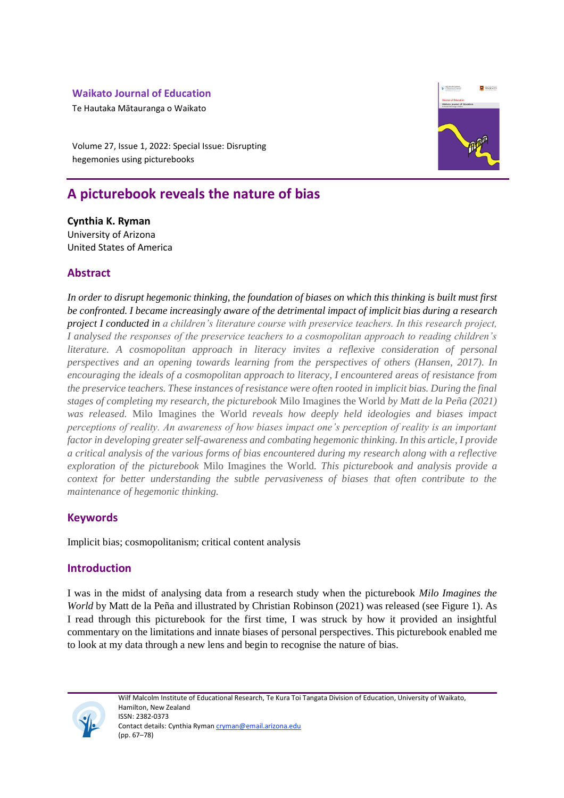## **Waikato Journal of Education**

Te Hautaka Mātauranga o Waikato

Volume 27, Issue 1, 2022: Special Issue: Disrupting hegemonies using picturebooks

# **A picturebook reveals the nature of bias**

**Cynthia K. Ryman** University of Arizona United States of America

## **Abstract**

*In order to disrupt hegemonic thinking, the foundation of biases on which this thinking is built must first be confronted. I became increasingly aware of the detrimental impact of implicit bias during a research project I conducted in a children's literature course with preservice teachers. In this research project, I analysed the responses of the preservice teachers to a cosmopolitan approach to reading children's literature. A cosmopolitan approach in literacy invites a reflexive consideration of personal perspectives and an opening towards learning from the perspectives of others (Hansen, 2017). In encouraging the ideals of a cosmopolitan approach to literacy, I encountered areas of resistance from the preservice teachers. These instances of resistance were often rooted in implicit bias. During the final stages of completing my research, the picturebook* Milo Imagines the World *by Matt de la Peña (2021) was released.* Milo Imagines the World *reveals how deeply held ideologies and biases impact perceptions of reality. An awareness of how biases impact one's perception of reality is an important factor in developing greater self-awareness and combating hegemonic thinking. In this article, I provide a critical analysis of the various forms of bias encountered during my research along with a reflective exploration of the picturebook* Milo Imagines the World*. This picturebook and analysis provide a context for better understanding the subtle pervasiveness of biases that often contribute to the maintenance of hegemonic thinking.* 

## **Keywords**

Implicit bias; cosmopolitanism; critical content analysis

## **Introduction**

I was in the midst of analysing data from a research study when the picturebook *Milo Imagines the World* by Matt de la Peña and illustrated by Christian Robinson (2021) was released (see Figure 1). As I read through this picturebook for the first time, I was struck by how it provided an insightful commentary on the limitations and innate biases of personal perspectives. This picturebook enabled me to look at my data through a new lens and begin to recognise the nature of bias.



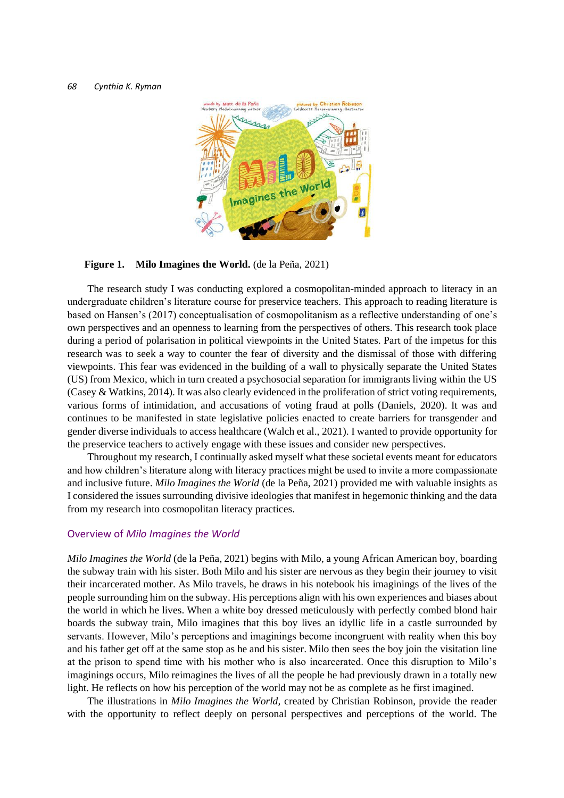

#### **Figure 1. Milo Imagines the World.** (de la Peña, 2021)

The research study I was conducting explored a cosmopolitan-minded approach to literacy in an undergraduate children's literature course for preservice teachers. This approach to reading literature is based on Hansen's (2017) conceptualisation of cosmopolitanism as a reflective understanding of one's own perspectives and an openness to learning from the perspectives of others. This research took place during a period of polarisation in political viewpoints in the United States. Part of the impetus for this research was to seek a way to counter the fear of diversity and the dismissal of those with differing viewpoints. This fear was evidenced in the building of a wall to physically separate the United States (US) from Mexico, which in turn created a psychosocial separation for immigrants living within the US (Casey & Watkins, 2014). It was also clearly evidenced in the proliferation of strict voting requirements, various forms of intimidation, and accusations of voting fraud at polls (Daniels, 2020). It was and continues to be manifested in state legislative policies enacted to create barriers for transgender and gender diverse individuals to access healthcare (Walch et al., 2021). I wanted to provide opportunity for the preservice teachers to actively engage with these issues and consider new perspectives.

Throughout my research, I continually asked myself what these societal events meant for educators and how children's literature along with literacy practices might be used to invite a more compassionate and inclusive future. *Milo Imagines the World* (de la Peña, 2021) provided me with valuable insights as I considered the issues surrounding divisive ideologies that manifest in hegemonic thinking and the data from my research into cosmopolitan literacy practices.

#### Overview of *Milo Imagines the World*

*Milo Imagines the World* (de la Peña, 2021) begins with Milo, a young African American boy, boarding the subway train with his sister. Both Milo and his sister are nervous as they begin their journey to visit their incarcerated mother. As Milo travels, he draws in his notebook his imaginings of the lives of the people surrounding him on the subway. His perceptions align with his own experiences and biases about the world in which he lives. When a white boy dressed meticulously with perfectly combed blond hair boards the subway train, Milo imagines that this boy lives an idyllic life in a castle surrounded by servants. However, Milo's perceptions and imaginings become incongruent with reality when this boy and his father get off at the same stop as he and his sister. Milo then sees the boy join the visitation line at the prison to spend time with his mother who is also incarcerated. Once this disruption to Milo's imaginings occurs, Milo reimagines the lives of all the people he had previously drawn in a totally new light. He reflects on how his perception of the world may not be as complete as he first imagined.

The illustrations in *Milo Imagines the World,* created by Christian Robinson, provide the reader with the opportunity to reflect deeply on personal perspectives and perceptions of the world. The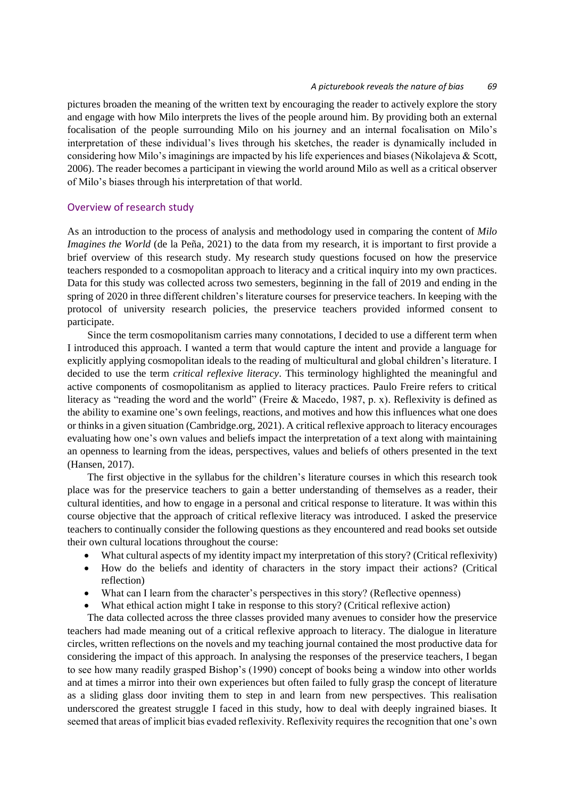#### *A picturebook reveals the nature of bias 69*

pictures broaden the meaning of the written text by encouraging the reader to actively explore the story and engage with how Milo interprets the lives of the people around him. By providing both an external focalisation of the people surrounding Milo on his journey and an internal focalisation on Milo's interpretation of these individual's lives through his sketches, the reader is dynamically included in considering how Milo's imaginings are impacted by his life experiences and biases (Nikolajeva & Scott, 2006). The reader becomes a participant in viewing the world around Milo as well as a critical observer of Milo's biases through his interpretation of that world.

#### Overview of research study

As an introduction to the process of analysis and methodology used in comparing the content of *Milo Imagines the World* (de la Peña, 2021) to the data from my research, it is important to first provide a brief overview of this research study. My research study questions focused on how the preservice teachers responded to a cosmopolitan approach to literacy and a critical inquiry into my own practices. Data for this study was collected across two semesters, beginning in the fall of 2019 and ending in the spring of 2020 in three different children's literature courses for preservice teachers. In keeping with the protocol of university research policies, the preservice teachers provided informed consent to participate.

Since the term cosmopolitanism carries many connotations, I decided to use a different term when I introduced this approach. I wanted a term that would capture the intent and provide a language for explicitly applying cosmopolitan ideals to the reading of multicultural and global children's literature. I decided to use the term *critical reflexive literacy*. This terminology highlighted the meaningful and active components of cosmopolitanism as applied to literacy practices. Paulo Freire refers to critical literacy as "reading the word and the world" (Freire & Macedo, 1987, p. x). Reflexivity is defined as the ability to examine one's own feelings, reactions, and motives and how this influences what one does or thinks in a given situation (Cambridge.org, 2021). A critical reflexive approach to literacy encourages evaluating how one's own values and beliefs impact the interpretation of a text along with maintaining an openness to learning from the ideas, perspectives, values and beliefs of others presented in the text (Hansen, 2017).

The first objective in the syllabus for the children's literature courses in which this research took place was for the preservice teachers to gain a better understanding of themselves as a reader, their cultural identities, and how to engage in a personal and critical response to literature. It was within this course objective that the approach of critical reflexive literacy was introduced. I asked the preservice teachers to continually consider the following questions as they encountered and read books set outside their own cultural locations throughout the course:

- What cultural aspects of my identity impact my interpretation of this story? (Critical reflexivity)
- How do the beliefs and identity of characters in the story impact their actions? (Critical reflection)
- What can I learn from the character's perspectives in this story? (Reflective openness)
- What ethical action might I take in response to this story? (Critical reflexive action)

The data collected across the three classes provided many avenues to consider how the preservice teachers had made meaning out of a critical reflexive approach to literacy. The dialogue in literature circles, written reflections on the novels and my teaching journal contained the most productive data for considering the impact of this approach. In analysing the responses of the preservice teachers, I began to see how many readily grasped Bishop's (1990) concept of books being a window into other worlds and at times a mirror into their own experiences but often failed to fully grasp the concept of literature as a sliding glass door inviting them to step in and learn from new perspectives. This realisation underscored the greatest struggle I faced in this study, how to deal with deeply ingrained biases. It seemed that areas of implicit bias evaded reflexivity. Reflexivity requires the recognition that one's own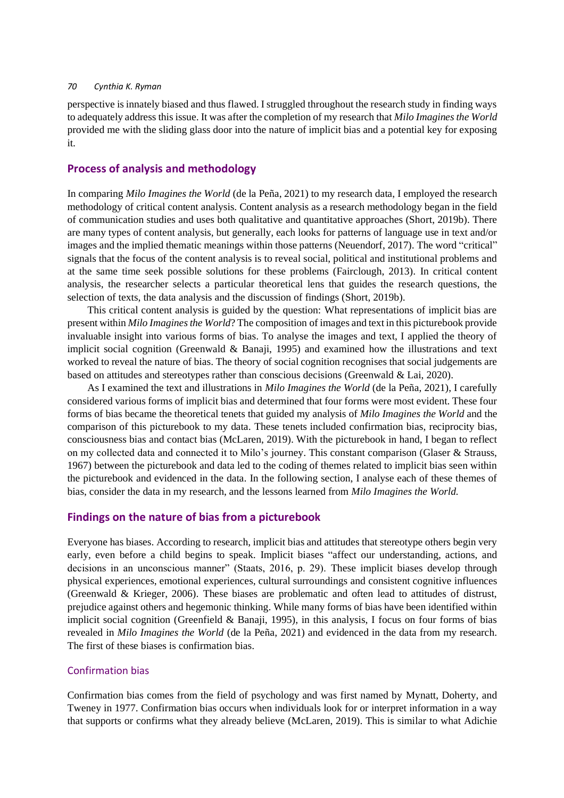perspective is innately biased and thus flawed. I struggled throughout the research study in finding ways to adequately address this issue. It was after the completion of my research that *Milo Imagines the World* provided me with the sliding glass door into the nature of implicit bias and a potential key for exposing it.

### **Process of analysis and methodology**

In comparing *Milo Imagines the World* (de la Peña, 2021) to my research data, I employed the research methodology of critical content analysis. Content analysis as a research methodology began in the field of communication studies and uses both qualitative and quantitative approaches (Short, 2019b). There are many types of content analysis, but generally, each looks for patterns of language use in text and/or images and the implied thematic meanings within those patterns (Neuendorf, 2017). The word "critical" signals that the focus of the content analysis is to reveal social, political and institutional problems and at the same time seek possible solutions for these problems (Fairclough, 2013). In critical content analysis, the researcher selects a particular theoretical lens that guides the research questions, the selection of texts, the data analysis and the discussion of findings (Short, 2019b).

This critical content analysis is guided by the question: What representations of implicit bias are present within *Milo Imagines the World*? The composition of images and text in this picturebook provide invaluable insight into various forms of bias. To analyse the images and text, I applied the theory of implicit social cognition (Greenwald & Banaji, 1995) and examined how the illustrations and text worked to reveal the nature of bias. The theory of social cognition recognises that social judgements are based on attitudes and stereotypes rather than conscious decisions (Greenwald & Lai, 2020).

As I examined the text and illustrations in *Milo Imagines the World* (de la Peña, 2021), I carefully considered various forms of implicit bias and determined that four forms were most evident. These four forms of bias became the theoretical tenets that guided my analysis of *Milo Imagines the World* and the comparison of this picturebook to my data. These tenets included confirmation bias, reciprocity bias, consciousness bias and contact bias (McLaren, 2019). With the picturebook in hand, I began to reflect on my collected data and connected it to Milo's journey. This constant comparison (Glaser & Strauss, 1967) between the picturebook and data led to the coding of themes related to implicit bias seen within the picturebook and evidenced in the data. In the following section, I analyse each of these themes of bias, consider the data in my research, and the lessons learned from *Milo Imagines the World.*

## **Findings on the nature of bias from a picturebook**

Everyone has biases. According to research, implicit bias and attitudes that stereotype others begin very early, even before a child begins to speak. Implicit biases "affect our understanding, actions, and decisions in an unconscious manner" (Staats, 2016, p. 29). These implicit biases develop through physical experiences, emotional experiences, cultural surroundings and consistent cognitive influences (Greenwald & Krieger, 2006). These biases are problematic and often lead to attitudes of distrust, prejudice against others and hegemonic thinking. While many forms of bias have been identified within implicit social cognition (Greenfield & Banaji, 1995), in this analysis, I focus on four forms of bias revealed in *Milo Imagines the World* (de la Peña, 2021) and evidenced in the data from my research. The first of these biases is confirmation bias.

### Confirmation bias

Confirmation bias comes from the field of psychology and was first named by Mynatt, Doherty, and Tweney in 1977. Confirmation bias occurs when individuals look for or interpret information in a way that supports or confirms what they already believe (McLaren, 2019). This is similar to what Adichie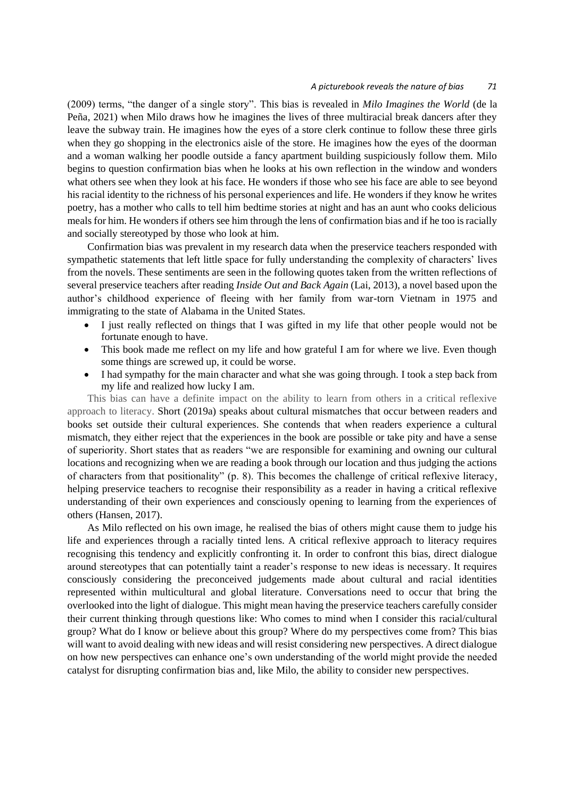#### *A picturebook reveals the nature of bias 71*

(2009) terms, "the danger of a single story". This bias is revealed in *Milo Imagines the World* (de la Peña, 2021) when Milo draws how he imagines the lives of three multiracial break dancers after they leave the subway train. He imagines how the eyes of a store clerk continue to follow these three girls when they go shopping in the electronics aisle of the store. He imagines how the eyes of the doorman and a woman walking her poodle outside a fancy apartment building suspiciously follow them. Milo begins to question confirmation bias when he looks at his own reflection in the window and wonders what others see when they look at his face. He wonders if those who see his face are able to see beyond his racial identity to the richness of his personal experiences and life. He wonders if they know he writes poetry, has a mother who calls to tell him bedtime stories at night and has an aunt who cooks delicious meals for him. He wonders if others see him through the lens of confirmation bias and if he too is racially and socially stereotyped by those who look at him.

Confirmation bias was prevalent in my research data when the preservice teachers responded with sympathetic statements that left little space for fully understanding the complexity of characters' lives from the novels. These sentiments are seen in the following quotes taken from the written reflections of several preservice teachers after reading *Inside Out and Back Again* (Lai, 2013), a novel based upon the author's childhood experience of fleeing with her family from war-torn Vietnam in 1975 and immigrating to the state of Alabama in the United States.

- I just really reflected on things that I was gifted in my life that other people would not be fortunate enough to have.
- This book made me reflect on my life and how grateful I am for where we live. Even though some things are screwed up, it could be worse.
- I had sympathy for the main character and what she was going through. I took a step back from my life and realized how lucky I am.

This bias can have a definite impact on the ability to learn from others in a critical reflexive approach to literacy. Short (2019a) speaks about cultural mismatches that occur between readers and books set outside their cultural experiences. She contends that when readers experience a cultural mismatch, they either reject that the experiences in the book are possible or take pity and have a sense of superiority. Short states that as readers "we are responsible for examining and owning our cultural locations and recognizing when we are reading a book through our location and thus judging the actions of characters from that positionality" (p. 8). This becomes the challenge of critical reflexive literacy, helping preservice teachers to recognise their responsibility as a reader in having a critical reflexive understanding of their own experiences and consciously opening to learning from the experiences of others (Hansen, 2017).

As Milo reflected on his own image, he realised the bias of others might cause them to judge his life and experiences through a racially tinted lens. A critical reflexive approach to literacy requires recognising this tendency and explicitly confronting it. In order to confront this bias, direct dialogue around stereotypes that can potentially taint a reader's response to new ideas is necessary. It requires consciously considering the preconceived judgements made about cultural and racial identities represented within multicultural and global literature. Conversations need to occur that bring the overlooked into the light of dialogue. This might mean having the preservice teachers carefully consider their current thinking through questions like: Who comes to mind when I consider this racial/cultural group? What do I know or believe about this group? Where do my perspectives come from? This bias will want to avoid dealing with new ideas and will resist considering new perspectives. A direct dialogue on how new perspectives can enhance one's own understanding of the world might provide the needed catalyst for disrupting confirmation bias and, like Milo, the ability to consider new perspectives.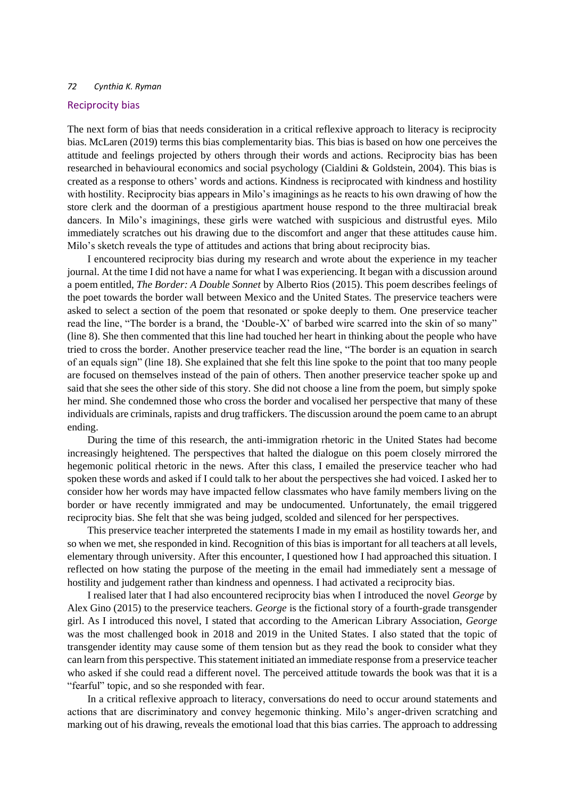#### Reciprocity bias

The next form of bias that needs consideration in a critical reflexive approach to literacy is reciprocity bias. McLaren (2019) terms this bias complementarity bias. This bias is based on how one perceives the attitude and feelings projected by others through their words and actions. Reciprocity bias has been researched in behavioural economics and social psychology (Cialdini & Goldstein, 2004). This bias is created as a response to others' words and actions. Kindness is reciprocated with kindness and hostility with hostility. Reciprocity bias appears in Milo's imaginings as he reacts to his own drawing of how the store clerk and the doorman of a prestigious apartment house respond to the three multiracial break dancers. In Milo's imaginings, these girls were watched with suspicious and distrustful eyes. Milo immediately scratches out his drawing due to the discomfort and anger that these attitudes cause him. Milo's sketch reveals the type of attitudes and actions that bring about reciprocity bias.

I encountered reciprocity bias during my research and wrote about the experience in my teacher journal. At the time I did not have a name for what I was experiencing. It began with a discussion around a poem entitled, *The Border: A Double Sonnet* by Alberto Rios (2015). This poem describes feelings of the poet towards the border wall between Mexico and the United States. The preservice teachers were asked to select a section of the poem that resonated or spoke deeply to them. One preservice teacher read the line, "The border is a brand, the 'Double-X' of barbed wire scarred into the skin of so many" (line 8). She then commented that this line had touched her heart in thinking about the people who have tried to cross the border. Another preservice teacher read the line, "The border is an equation in search of an equals sign" (line 18). She explained that she felt this line spoke to the point that too many people are focused on themselves instead of the pain of others. Then another preservice teacher spoke up and said that she sees the other side of this story. She did not choose a line from the poem, but simply spoke her mind. She condemned those who cross the border and vocalised her perspective that many of these individuals are criminals, rapists and drug traffickers. The discussion around the poem came to an abrupt ending.

During the time of this research, the anti-immigration rhetoric in the United States had become increasingly heightened. The perspectives that halted the dialogue on this poem closely mirrored the hegemonic political rhetoric in the news. After this class, I emailed the preservice teacher who had spoken these words and asked if I could talk to her about the perspectives she had voiced. I asked her to consider how her words may have impacted fellow classmates who have family members living on the border or have recently immigrated and may be undocumented. Unfortunately, the email triggered reciprocity bias. She felt that she was being judged, scolded and silenced for her perspectives.

This preservice teacher interpreted the statements I made in my email as hostility towards her, and so when we met, she responded in kind. Recognition of this bias is important for all teachers at all levels, elementary through university. After this encounter, I questioned how I had approached this situation. I reflected on how stating the purpose of the meeting in the email had immediately sent a message of hostility and judgement rather than kindness and openness. I had activated a reciprocity bias.

I realised later that I had also encountered reciprocity bias when I introduced the novel *George* by Alex Gino (2015) to the preservice teachers. *George* is the fictional story of a fourth-grade transgender girl. As I introduced this novel, I stated that according to the American Library Association, *George* was the most challenged book in 2018 and 2019 in the United States. I also stated that the topic of transgender identity may cause some of them tension but as they read the book to consider what they can learn from this perspective. This statement initiated an immediate response from a preservice teacher who asked if she could read a different novel. The perceived attitude towards the book was that it is a "fearful" topic, and so she responded with fear.

In a critical reflexive approach to literacy, conversations do need to occur around statements and actions that are discriminatory and convey hegemonic thinking. Milo's anger-driven scratching and marking out of his drawing, reveals the emotional load that this bias carries. The approach to addressing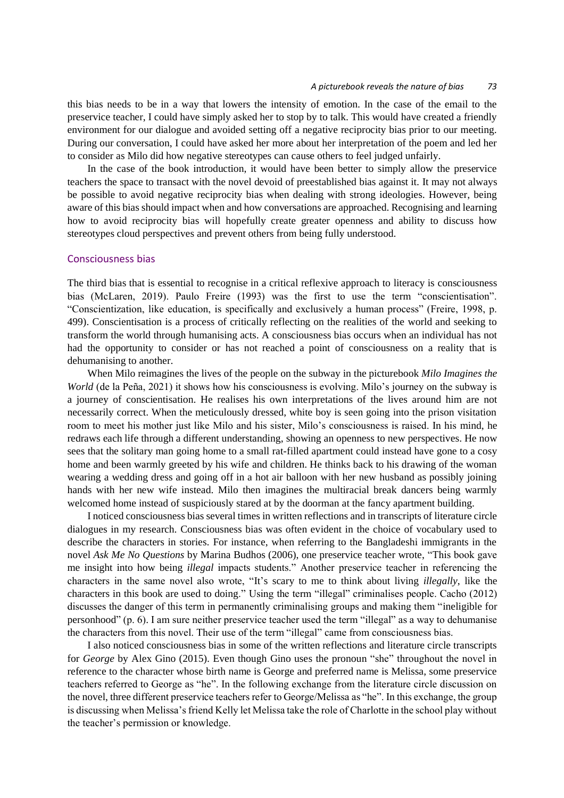this bias needs to be in a way that lowers the intensity of emotion. In the case of the email to the preservice teacher, I could have simply asked her to stop by to talk. This would have created a friendly environment for our dialogue and avoided setting off a negative reciprocity bias prior to our meeting. During our conversation, I could have asked her more about her interpretation of the poem and led her to consider as Milo did how negative stereotypes can cause others to feel judged unfairly.

In the case of the book introduction, it would have been better to simply allow the preservice teachers the space to transact with the novel devoid of preestablished bias against it. It may not always be possible to avoid negative reciprocity bias when dealing with strong ideologies. However, being aware of this bias should impact when and how conversations are approached. Recognising and learning how to avoid reciprocity bias will hopefully create greater openness and ability to discuss how stereotypes cloud perspectives and prevent others from being fully understood.

#### Consciousness bias

The third bias that is essential to recognise in a critical reflexive approach to literacy is consciousness bias (McLaren, 2019). Paulo Freire (1993) was the first to use the term "conscientisation". "Conscientization, like education, is specifically and exclusively a human process" (Freire, 1998, p. 499). Conscientisation is a process of critically reflecting on the realities of the world and seeking to transform the world through humanising acts. A consciousness bias occurs when an individual has not had the opportunity to consider or has not reached a point of consciousness on a reality that is dehumanising to another.

When Milo reimagines the lives of the people on the subway in the picturebook *Milo Imagines the World* (de la Peña, 2021) it shows how his consciousness is evolving. Milo's journey on the subway is a journey of conscientisation. He realises his own interpretations of the lives around him are not necessarily correct. When the meticulously dressed, white boy is seen going into the prison visitation room to meet his mother just like Milo and his sister, Milo's consciousness is raised. In his mind, he redraws each life through a different understanding, showing an openness to new perspectives. He now sees that the solitary man going home to a small rat-filled apartment could instead have gone to a cosy home and been warmly greeted by his wife and children. He thinks back to his drawing of the woman wearing a wedding dress and going off in a hot air balloon with her new husband as possibly joining hands with her new wife instead. Milo then imagines the multiracial break dancers being warmly welcomed home instead of suspiciously stared at by the doorman at the fancy apartment building.

I noticed consciousness bias several times in written reflections and in transcripts of literature circle dialogues in my research. Consciousness bias was often evident in the choice of vocabulary used to describe the characters in stories. For instance, when referring to the Bangladeshi immigrants in the novel *Ask Me No Questions* by Marina Budhos (2006), one preservice teacher wrote, "This book gave me insight into how being *illegal* impacts students." Another preservice teacher in referencing the characters in the same novel also wrote, "It's scary to me to think about living *illegally*, like the characters in this book are used to doing." Using the term "illegal" criminalises people. Cacho (2012) discusses the danger of this term in permanently criminalising groups and making them "ineligible for personhood" (p. 6). I am sure neither preservice teacher used the term "illegal" as a way to dehumanise the characters from this novel. Their use of the term "illegal" came from consciousness bias.

I also noticed consciousness bias in some of the written reflections and literature circle transcripts for *George* by Alex Gino (2015). Even though Gino uses the pronoun "she" throughout the novel in reference to the character whose birth name is George and preferred name is Melissa, some preservice teachers referred to George as "he". In the following exchange from the literature circle discussion on the novel, three different preservice teachers refer to George/Melissa as "he". In this exchange, the group is discussing when Melissa's friend Kelly let Melissa take the role of Charlotte in the school play without the teacher's permission or knowledge.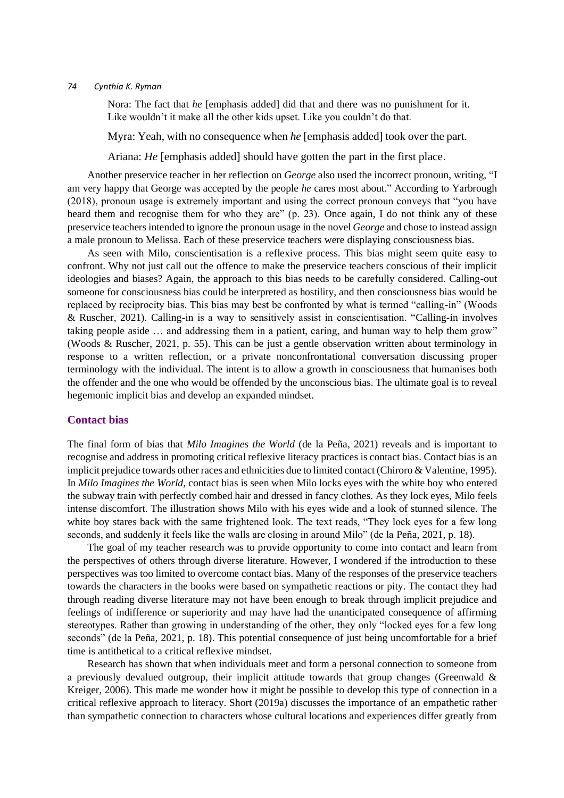Nora: The fact that *he* [emphasis added] did that and there was no punishment for it. Like wouldn't it make all the other kids upset. Like you couldn't do that.

Myra: Yeah, with no consequence when *he* [emphasis added] took over the part.

Ariana: *He* [emphasis added] should have gotten the part in the first place.

Another preservice teacher in her reflection on *George* also used the incorrect pronoun, writing, "I am very happy that George was accepted by the people *he* cares most about." According to Yarbrough (2018), pronoun usage is extremely important and using the correct pronoun conveys that "you have heard them and recognise them for who they are" (p. 23). Once again, I do not think any of these preservice teachers intended to ignore the pronoun usage in the novel *George* and chose to instead assign a male pronoun to Melissa. Each of these preservice teachers were displaying consciousness bias.

As seen with Milo, conscientisation is a reflexive process. This bias might seem quite easy to confront. Why not just call out the offence to make the preservice teachers conscious of their implicit ideologies and biases? Again, the approach to this bias needs to be carefully considered. Calling-out someone for consciousness bias could be interpreted as hostility, and then consciousness bias would be replaced by reciprocity bias. This bias may best be confronted by what is termed "calling-in" (Woods & Ruscher, 2021). Calling-in is a way to sensitively assist in conscientisation. "Calling-in involves taking people aside … and addressing them in a patient, caring, and human way to help them grow" (Woods & Ruscher, 2021, p. 55). This can be just a gentle observation written about terminology in response to a written reflection, or a private nonconfrontational conversation discussing proper terminology with the individual. The intent is to allow a growth in consciousness that humanises both the offender and the one who would be offended by the unconscious bias. The ultimate goal is to reveal hegemonic implicit bias and develop an expanded mindset.

### **Contact bias**

The final form of bias that *Milo Imagines the World* (de la Peña, 2021) reveals and is important to recognise and address in promoting critical reflexive literacy practices is contact bias. Contact bias is an implicit prejudice towards other races and ethnicities due to limited contact (Chiroro & Valentine, 1995). In *Milo Imagines the World*, contact bias is seen when Milo locks eyes with the white boy who entered the subway train with perfectly combed hair and dressed in fancy clothes. As they lock eyes, Milo feels intense discomfort. The illustration shows Milo with his eyes wide and a look of stunned silence. The white boy stares back with the same frightened look. The text reads, "They lock eyes for a few long seconds, and suddenly it feels like the walls are closing in around Milo" (de la Peña, 2021, p. 18).

The goal of my teacher research was to provide opportunity to come into contact and learn from the perspectives of others through diverse literature. However, I wondered if the introduction to these perspectives was too limited to overcome contact bias. Many of the responses of the preservice teachers towards the characters in the books were based on sympathetic reactions or pity. The contact they had through reading diverse literature may not have been enough to break through implicit prejudice and feelings of indifference or superiority and may have had the unanticipated consequence of affirming stereotypes. Rather than growing in understanding of the other, they only "locked eyes for a few long seconds" (de la Peña, 2021, p. 18). This potential consequence of just being uncomfortable for a brief time is antithetical to a critical reflexive mindset.

Research has shown that when individuals meet and form a personal connection to someone from a previously devalued outgroup, their implicit attitude towards that group changes (Greenwald  $\&$ Kreiger, 2006). This made me wonder how it might be possible to develop this type of connection in a critical reflexive approach to literacy. Short (2019a) discusses the importance of an empathetic rather than sympathetic connection to characters whose cultural locations and experiences differ greatly from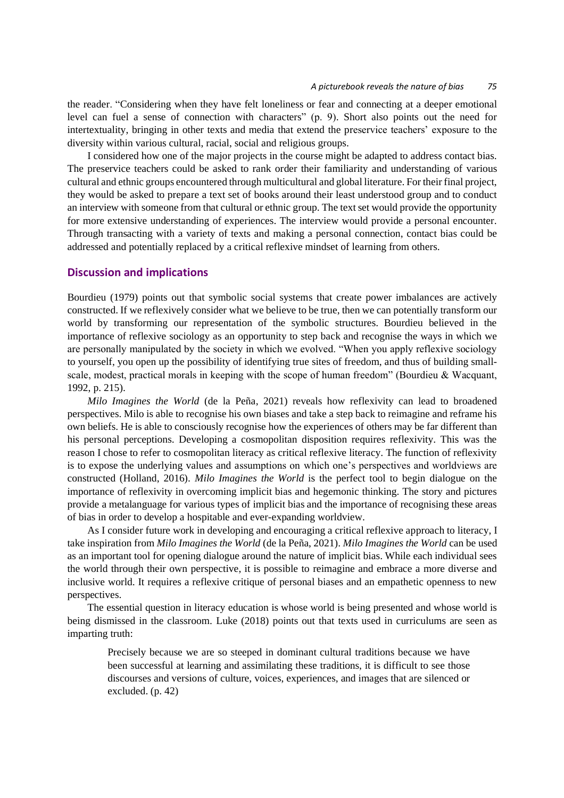the reader. "Considering when they have felt loneliness or fear and connecting at a deeper emotional level can fuel a sense of connection with characters" (p. 9). Short also points out the need for intertextuality, bringing in other texts and media that extend the preservice teachers' exposure to the diversity within various cultural, racial, social and religious groups.

I considered how one of the major projects in the course might be adapted to address contact bias. The preservice teachers could be asked to rank order their familiarity and understanding of various cultural and ethnic groups encountered through multicultural and global literature. For their final project, they would be asked to prepare a text set of books around their least understood group and to conduct an interview with someone from that cultural or ethnic group. The text set would provide the opportunity for more extensive understanding of experiences. The interview would provide a personal encounter. Through transacting with a variety of texts and making a personal connection, contact bias could be addressed and potentially replaced by a critical reflexive mindset of learning from others.

### **Discussion and implications**

Bourdieu (1979) points out that symbolic social systems that create power imbalances are actively constructed. If we reflexively consider what we believe to be true, then we can potentially transform our world by transforming our representation of the symbolic structures. Bourdieu believed in the importance of reflexive sociology as an opportunity to step back and recognise the ways in which we are personally manipulated by the society in which we evolved. "When you apply reflexive sociology to yourself, you open up the possibility of identifying true sites of freedom, and thus of building smallscale, modest, practical morals in keeping with the scope of human freedom" (Bourdieu & Wacquant, 1992, p. 215).

*Milo Imagines the World* (de la Peña, 2021) reveals how reflexivity can lead to broadened perspectives. Milo is able to recognise his own biases and take a step back to reimagine and reframe his own beliefs. He is able to consciously recognise how the experiences of others may be far different than his personal perceptions. Developing a cosmopolitan disposition requires reflexivity. This was the reason I chose to refer to cosmopolitan literacy as critical reflexive literacy. The function of reflexivity is to expose the underlying values and assumptions on which one's perspectives and worldviews are constructed (Holland, 2016). *Milo Imagines the World* is the perfect tool to begin dialogue on the importance of reflexivity in overcoming implicit bias and hegemonic thinking. The story and pictures provide a metalanguage for various types of implicit bias and the importance of recognising these areas of bias in order to develop a hospitable and ever-expanding worldview.

As I consider future work in developing and encouraging a critical reflexive approach to literacy, I take inspiration from *Milo Imagines the World* (de la Peña, 2021). *Milo Imagines the World* can be used as an important tool for opening dialogue around the nature of implicit bias. While each individual sees the world through their own perspective, it is possible to reimagine and embrace a more diverse and inclusive world. It requires a reflexive critique of personal biases and an empathetic openness to new perspectives.

The essential question in literacy education is whose world is being presented and whose world is being dismissed in the classroom. Luke (2018) points out that texts used in curriculums are seen as imparting truth:

Precisely because we are so steeped in dominant cultural traditions because we have been successful at learning and assimilating these traditions, it is difficult to see those discourses and versions of culture, voices, experiences, and images that are silenced or excluded. (p. 42)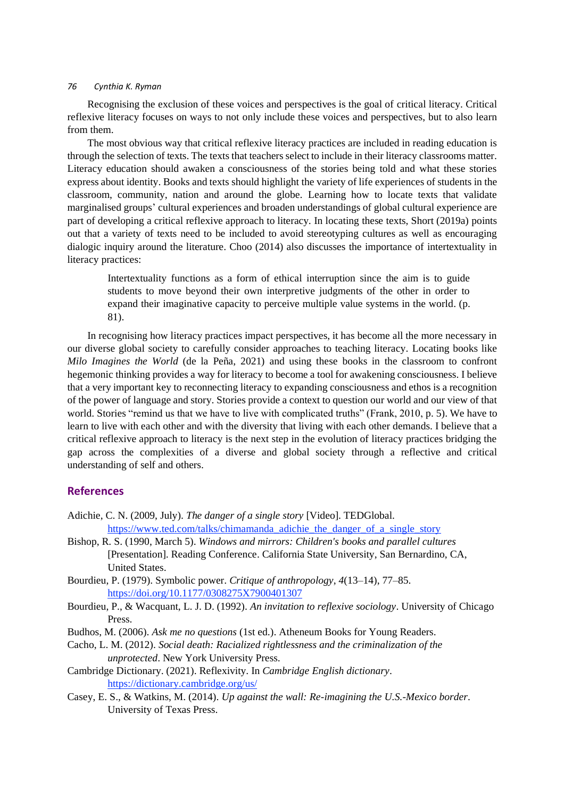Recognising the exclusion of these voices and perspectives is the goal of critical literacy. Critical reflexive literacy focuses on ways to not only include these voices and perspectives, but to also learn from them.

The most obvious way that critical reflexive literacy practices are included in reading education is through the selection of texts. The texts that teachers select to include in their literacy classrooms matter. Literacy education should awaken a consciousness of the stories being told and what these stories express about identity. Books and texts should highlight the variety of life experiences of students in the classroom, community, nation and around the globe. Learning how to locate texts that validate marginalised groups' cultural experiences and broaden understandings of global cultural experience are part of developing a critical reflexive approach to literacy. In locating these texts, Short (2019a) points out that a variety of texts need to be included to avoid stereotyping cultures as well as encouraging dialogic inquiry around the literature. Choo (2014) also discusses the importance of intertextuality in literacy practices:

Intertextuality functions as a form of ethical interruption since the aim is to guide students to move beyond their own interpretive judgments of the other in order to expand their imaginative capacity to perceive multiple value systems in the world. (p. 81).

In recognising how literacy practices impact perspectives, it has become all the more necessary in our diverse global society to carefully consider approaches to teaching literacy. Locating books like *Milo Imagines the World* (de la Peña, 2021) and using these books in the classroom to confront hegemonic thinking provides a way for literacy to become a tool for awakening consciousness. I believe that a very important key to reconnecting literacy to expanding consciousness and ethos is a recognition of the power of language and story. Stories provide a context to question our world and our view of that world. Stories "remind us that we have to live with complicated truths" (Frank, 2010, p. 5). We have to learn to live with each other and with the diversity that living with each other demands. I believe that a critical reflexive approach to literacy is the next step in the evolution of literacy practices bridging the gap across the complexities of a diverse and global society through a reflective and critical understanding of self and others.

### **References**

- Adichie, C. N. (2009, July). *The danger of a single story* [Video]. TEDGlobal. [https://www.ted.com/talks/chimamanda\\_adichie\\_the\\_danger\\_of\\_a\\_single\\_story](https://www.ted.com/talks/chimamanda_adichie_the_danger_of_a_single_story)
- Bishop, R. S. (1990, March 5). *Windows and mirrors: Children's books and parallel cultures* [Presentation]. Reading Conference. California State University, San Bernardino, CA, United States.
- Bourdieu, P. (1979). Symbolic power. *Critique of anthropology*, *4*(13–14), 77–85. <https://doi.org/10.1177/0308275X7900401307>
- Bourdieu, P., & Wacquant, L. J. D. (1992). *An invitation to reflexive sociology*. University of Chicago Press.
- Budhos, M. (2006). *Ask me no questions* (1st ed.). Atheneum Books for Young Readers.
- Cacho, L. M. (2012). *Social death: Racialized rightlessness and the criminalization of the unprotected*. New York University Press.
- Cambridge Dictionary. (2021). Reflexivity. In *Cambridge English dictionary*. <https://dictionary.cambridge.org/us/>
- Casey, E. S., & Watkins, M. (2014). *Up against the wall: Re-imagining the U.S.-Mexico border*. University of Texas Press.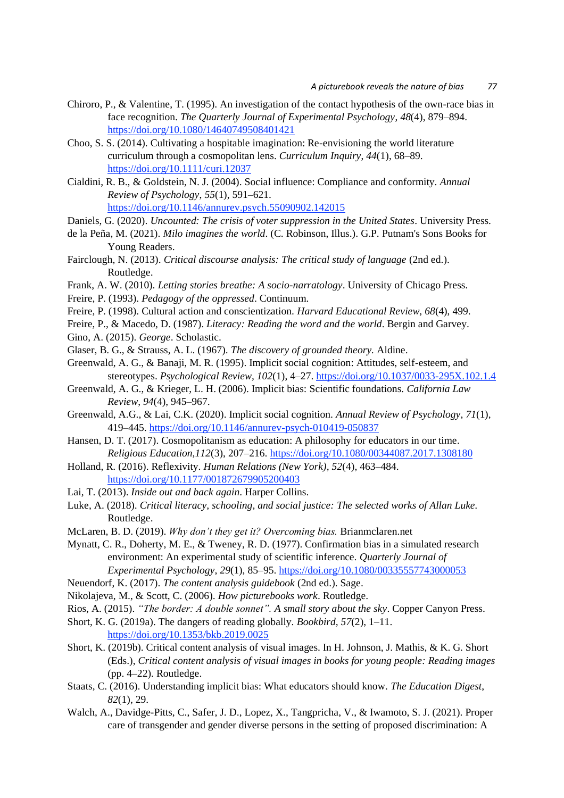- Chiroro, P., & Valentine, T. (1995). An investigation of the contact hypothesis of the own-race bias in face recognition. *The Quarterly Journal of Experimental Psychology*, *48*(4), 879–894. <https://doi.org/10.1080/14640749508401421>
- Choo, S. S. (2014). Cultivating a hospitable imagination: Re-envisioning the world literature curriculum through a cosmopolitan lens. *Curriculum Inquiry*, *44*(1), 68–89. <https://doi.org/10.1111/curi.12037>
- Cialdini, R. B., & Goldstein, N. J. (2004). Social influence: Compliance and conformity. *Annual Review of Psychology*, *55*(1), 591–621. <https://doi.org/10.1146/annurev.psych.55090902.142015>
- Daniels, G. (2020). *Uncounted: The crisis of voter suppression in the United States*. University Press.
- de la Peña, M. (2021). *Milo imagines the world*. (C. Robinson, Illus.). G.P. Putnam's Sons Books for Young Readers.
- Fairclough, N. (2013). *Critical discourse analysis: The critical study of language* (2nd ed.). Routledge.
- Frank, A. W. (2010). *Letting stories breathe: A socio-narratology*. University of Chicago Press.
- Freire, P. (1993). *Pedagogy of the oppressed*. Continuum.
- Freire, P. (1998). Cultural action and conscientization. *Harvard Educational Review, 68*(4), 499.
- Freire, P., & Macedo, D. (1987). *Literacy: Reading the word and the world*. Bergin and Garvey.
- Gino, A. (2015). *George*. Scholastic.
- Glaser, B. G., & Strauss, A. L. (1967). *The discovery of grounded theory.* Aldine.
- Greenwald, A. G., & Banaji, M. R. (1995). Implicit social cognition: Attitudes, self-esteem, and stereotypes. *Psychological Review, 102*(1), 4–27.<https://doi.org/10.1037/0033-295X.102.1.4>
- Greenwald, A. G., & Krieger, L. H. (2006). Implicit bias: Scientific foundations. *California Law Review*, *94*(4), 945–967.
- Greenwald, A.G., & Lai, C.K. (2020). Implicit social cognition. *Annual Review of Psychology*, *71*(1), 419–445.<https://doi.org/10.1146/annurev-psych-010419-050837>
- Hansen, D. T. (2017). Cosmopolitanism as education: A philosophy for educators in our time. *Religious Education,112*(3), 207–216[. https://doi.org/10.1080/00344087.2017.1308180](https://doi.org/10.1080/00344087.2017.1308180)
- Holland, R. (2016). Reflexivity. *Human Relations (New York), 52*(4), 463–484. <https://doi.org/10.1177/001872679905200403>
- Lai, T. (2013). *Inside out and back again*. Harper Collins.
- Luke, A. (2018). *Critical literacy, schooling, and social justice: The selected works of Allan Luke.*  Routledge.
- McLaren, B. D. (2019). *Why don't they get it? Overcoming bias.* Brianmclaren.net
- Mynatt, C. R., Doherty, M. E., & Tweney, R. D. (1977). Confirmation bias in a simulated research environment: An experimental study of scientific inference. *Quarterly Journal of Experimental Psychology*, *29*(1), 85–95.<https://doi.org/10.1080/00335557743000053>
- Neuendorf, K. (2017). *The content analysis guidebook* (2nd ed.). Sage.
- Nikolajeva, M., & Scott, C. (2006). *How picturebooks work*. Routledge.
- Rios, A. (2015). *"The border: A double sonnet". A small story about the sky*. Copper Canyon Press.
- Short, K. G. (2019a). The dangers of reading globally. *Bookbird, 57*(2), 1–11.

<https://doi.org/10.1353/bkb.2019.0025>

- Short, K. (2019b). Critical content analysis of visual images. In H. Johnson, J. Mathis, & K. G. Short (Eds.), *Critical content analysis of visual images in books for young people: Reading images* (pp. 4–22). Routledge.
- Staats, C. (2016). Understanding implicit bias: What educators should know. *The Education Digest*, *82*(1), 29.
- Walch, A., Davidge-Pitts, C., Safer, J. D., Lopez, X., Tangpricha, V., & Iwamoto, S. J. (2021). Proper care of transgender and gender diverse persons in the setting of proposed discrimination: A